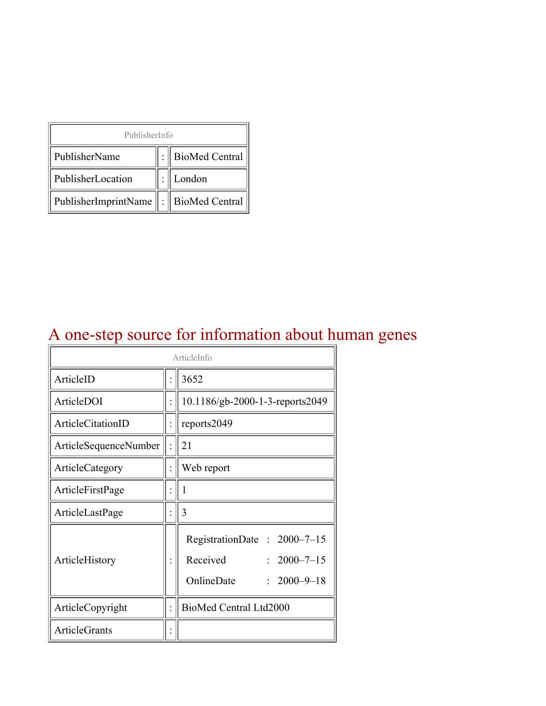| PublisherInfo                         |  |                    |  |  |
|---------------------------------------|--|--------------------|--|--|
| PublisherName                         |  | :   BioMed Central |  |  |
| PublisherLocation                     |  | London             |  |  |
| PublisherImprintName : BioMed Central |  |                    |  |  |

# A one-step source for information about human genes

| ArticleInfo           |  |                                                                                                 |
|-----------------------|--|-------------------------------------------------------------------------------------------------|
| ArticleID             |  | 3652                                                                                            |
| ArticleDOI            |  | 10.1186/gb-2000-1-3-reports2049                                                                 |
| ArticleCitationID     |  | reports2049                                                                                     |
| ArticleSequenceNumber |  | 21                                                                                              |
| ArticleCategory       |  | Web report                                                                                      |
| ArticleFirstPage      |  | I                                                                                               |
| ArticleLastPage       |  | 3                                                                                               |
| ArticleHistory        |  | RegistrationDate: 2000-7-15<br>Received<br>$: 2000 - 7 - 15$<br>OnlineDate<br>$: 2000 - 9 - 18$ |
| ArticleCopyright      |  | BioMed Central Ltd2000                                                                          |
| ArticleGrants         |  |                                                                                                 |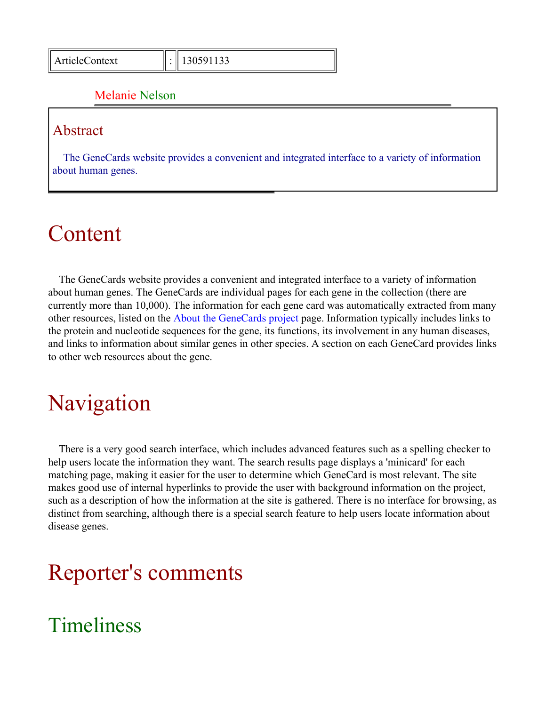#### Melanie Nelson

#### Abstract

The GeneCards website provides a convenient and integrated interface to a variety of information about human genes.

## Content

The GeneCards website provides a convenient and integrated interface to a variety of information about human genes. The GeneCards are individual pages for each gene in the collection (there are currently more than 10,000). The information for each gene card was automatically extracted from many other resources, listed on the [About the GeneCards project](http://bioinformatics.weizmann.ac.il/cards/background.html) page. Information typically includes links to the protein and nucleotide sequences for the gene, its functions, its involvement in any human diseases, and links to information about similar genes in other species. A section on each GeneCard provides links to other web resources about the gene.

## Navigation

There is a very good search interface, which includes advanced features such as a spelling checker to help users locate the information they want. The search results page displays a 'minicard' for each matching page, making it easier for the user to determine which GeneCard is most relevant. The site makes good use of internal hyperlinks to provide the user with background information on the project, such as a description of how the information at the site is gathered. There is no interface for browsing, as distinct from searching, although there is a special search feature to help users locate information about disease genes.

## Reporter's comments

### Timeliness